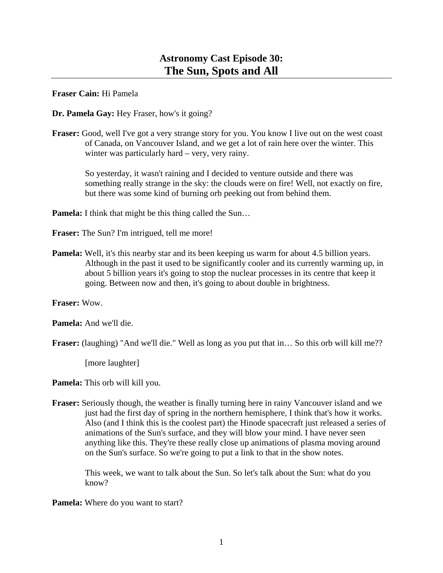**Fraser Cain:** Hi Pamela

**Dr. Pamela Gay:** Hey Fraser, how's it going?

**Fraser:** Good, well I've got a very strange story for you. You know I live out on the west coast of Canada, on Vancouver Island, and we get a lot of rain here over the winter. This winter was particularly hard – very, very rainy.

 So yesterday, it wasn't raining and I decided to venture outside and there was something really strange in the sky: the clouds were on fire! Well, not exactly on fire, but there was some kind of burning orb peeking out from behind them.

**Pamela:** I think that might be this thing called the Sun...

**Fraser:** The Sun? I'm intrigued, tell me more!

**Pamela:** Well, it's this nearby star and its been keeping us warm for about 4.5 billion years. Although in the past it used to be significantly cooler and its currently warming up, in about 5 billion years it's going to stop the nuclear processes in its centre that keep it going. Between now and then, it's going to about double in brightness.

**Fraser:** Wow.

**Pamela:** And we'll die.

**Fraser:** (laughing) "And we'll die." Well as long as you put that in… So this orb will kill me??

[more laughter]

**Pamela:** This orb will kill you.

**Fraser:** Seriously though, the weather is finally turning here in rainy Vancouver island and we just had the first day of spring in the northern hemisphere, I think that's how it works. Also (and I think this is the coolest part) the Hinode spacecraft just released a series of animations of the Sun's surface, and they will blow your mind. I have never seen anything like this. They're these really close up animations of plasma moving around on the Sun's surface. So we're going to put a link to that in the show notes.

 This week, we want to talk about the Sun. So let's talk about the Sun: what do you know?

**Pamela:** Where do you want to start?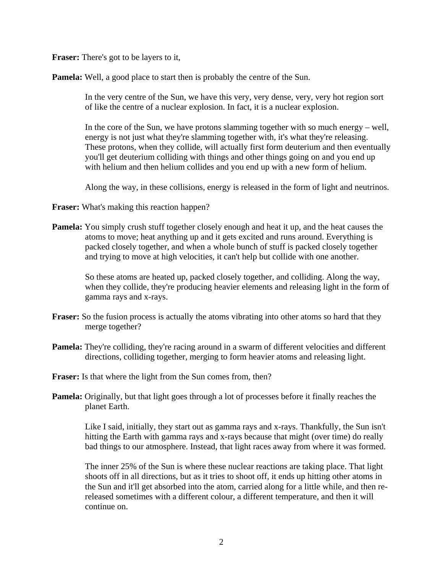**Fraser:** There's got to be layers to it,

**Pamela:** Well, a good place to start then is probably the centre of the Sun.

 In the very centre of the Sun, we have this very, very dense, very, very hot region sort of like the centre of a nuclear explosion. In fact, it is a nuclear explosion.

 In the core of the Sun, we have protons slamming together with so much energy – well, energy is not just what they're slamming together with, it's what they're releasing. These protons, when they collide, will actually first form deuterium and then eventually you'll get deuterium colliding with things and other things going on and you end up with helium and then helium collides and you end up with a new form of helium.

Along the way, in these collisions, energy is released in the form of light and neutrinos.

**Fraser:** What's making this reaction happen?

**Pamela:** You simply crush stuff together closely enough and heat it up, and the heat causes the atoms to move; heat anything up and it gets excited and runs around. Everything is packed closely together, and when a whole bunch of stuff is packed closely together and trying to move at high velocities, it can't help but collide with one another.

 So these atoms are heated up, packed closely together, and colliding. Along the way, when they collide, they're producing heavier elements and releasing light in the form of gamma rays and x-rays.

- **Fraser:** So the fusion process is actually the atoms vibrating into other atoms so hard that they merge together?
- **Pamela:** They're colliding, they're racing around in a swarm of different velocities and different directions, colliding together, merging to form heavier atoms and releasing light.
- **Fraser:** Is that where the light from the Sun comes from, then?
- **Pamela:** Originally, but that light goes through a lot of processes before it finally reaches the planet Earth.

 Like I said, initially, they start out as gamma rays and x-rays. Thankfully, the Sun isn't hitting the Earth with gamma rays and x-rays because that might (over time) do really bad things to our atmosphere. Instead, that light races away from where it was formed.

 The inner 25% of the Sun is where these nuclear reactions are taking place. That light shoots off in all directions, but as it tries to shoot off, it ends up hitting other atoms in the Sun and it'll get absorbed into the atom, carried along for a little while, and then rereleased sometimes with a different colour, a different temperature, and then it will continue on.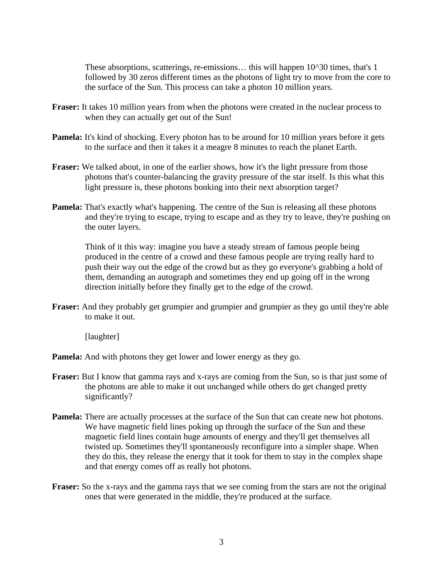These absorptions, scatterings, re-emissions… this will happen 10^30 times, that's 1 followed by 30 zeros different times as the photons of light try to move from the core to the surface of the Sun. This process can take a photon 10 million years.

- **Fraser:** It takes 10 million years from when the photons were created in the nuclear process to when they can actually get out of the Sun!
- **Pamela:** It's kind of shocking. Every photon has to be around for 10 million years before it gets to the surface and then it takes it a meagre 8 minutes to reach the planet Earth.
- **Fraser:** We talked about, in one of the earlier shows, how it's the light pressure from those photons that's counter-balancing the gravity pressure of the star itself. Is this what this light pressure is, these photons bonking into their next absorption target?
- **Pamela:** That's exactly what's happening. The centre of the Sun is releasing all these photons and they're trying to escape, trying to escape and as they try to leave, they're pushing on the outer layers.

 Think of it this way: imagine you have a steady stream of famous people being produced in the centre of a crowd and these famous people are trying really hard to push their way out the edge of the crowd but as they go everyone's grabbing a hold of them, demanding an autograph and sometimes they end up going off in the wrong direction initially before they finally get to the edge of the crowd.

**Fraser:** And they probably get grumpier and grumpier and grumpier as they go until they're able to make it out.

[laughter]

**Pamela:** And with photons they get lower and lower energy as they go.

- **Fraser:** But I know that gamma rays and x-rays are coming from the Sun, so is that just some of the photons are able to make it out unchanged while others do get changed pretty significantly?
- **Pamela:** There are actually processes at the surface of the Sun that can create new hot photons. We have magnetic field lines poking up through the surface of the Sun and these magnetic field lines contain huge amounts of energy and they'll get themselves all twisted up. Sometimes they'll spontaneously reconfigure into a simpler shape. When they do this, they release the energy that it took for them to stay in the complex shape and that energy comes off as really hot photons.
- **Fraser:** So the x-rays and the gamma rays that we see coming from the stars are not the original ones that were generated in the middle, they're produced at the surface.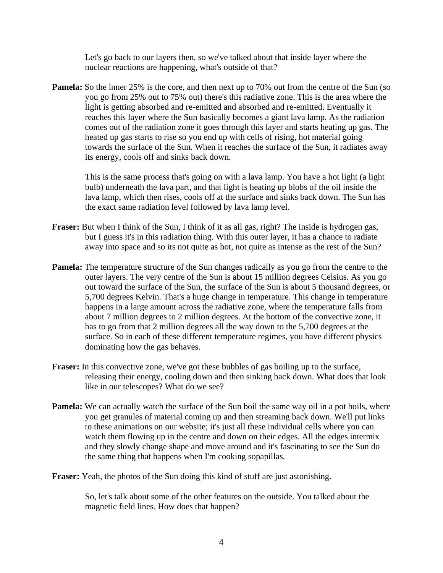Let's go back to our layers then, so we've talked about that inside layer where the nuclear reactions are happening, what's outside of that?

**Pamela:** So the inner 25% is the core, and then next up to 70% out from the centre of the Sun (so you go from 25% out to 75% out) there's this radiative zone. This is the area where the light is getting absorbed and re-emitted and absorbed and re-emitted. Eventually it reaches this layer where the Sun basically becomes a giant lava lamp. As the radiation comes out of the radiation zone it goes through this layer and starts heating up gas. The heated up gas starts to rise so you end up with cells of rising, hot material going towards the surface of the Sun. When it reaches the surface of the Sun, it radiates away its energy, cools off and sinks back down.

 This is the same process that's going on with a lava lamp. You have a hot light (a light bulb) underneath the lava part, and that light is heating up blobs of the oil inside the lava lamp, which then rises, cools off at the surface and sinks back down. The Sun has the exact same radiation level followed by lava lamp level.

- **Fraser:** But when I think of the Sun, I think of it as all gas, right? The inside is hydrogen gas, but I guess it's in this radiation thing. With this outer layer, it has a chance to radiate away into space and so its not quite as hot, not quite as intense as the rest of the Sun?
- **Pamela:** The temperature structure of the Sun changes radically as you go from the centre to the outer layers. The very centre of the Sun is about 15 million degrees Celsius. As you go out toward the surface of the Sun, the surface of the Sun is about 5 thousand degrees, or 5,700 degrees Kelvin. That's a huge change in temperature. This change in temperature happens in a large amount across the radiative zone, where the temperature falls from about 7 million degrees to 2 million degrees. At the bottom of the convective zone, it has to go from that 2 million degrees all the way down to the 5,700 degrees at the surface. So in each of these different temperature regimes, you have different physics dominating how the gas behaves.
- **Fraser:** In this convective zone, we've got these bubbles of gas boiling up to the surface, releasing their energy, cooling down and then sinking back down. What does that look like in our telescopes? What do we see?
- **Pamela:** We can actually watch the surface of the Sun boil the same way oil in a pot boils, where you get granules of material coming up and then streaming back down. We'll put links to these animations on our website; it's just all these individual cells where you can watch them flowing up in the centre and down on their edges. All the edges intermix and they slowly change shape and move around and it's fascinating to see the Sun do the same thing that happens when I'm cooking sopapillas.

**Fraser:** Yeah, the photos of the Sun doing this kind of stuff are just astonishing.

 So, let's talk about some of the other features on the outside. You talked about the magnetic field lines. How does that happen?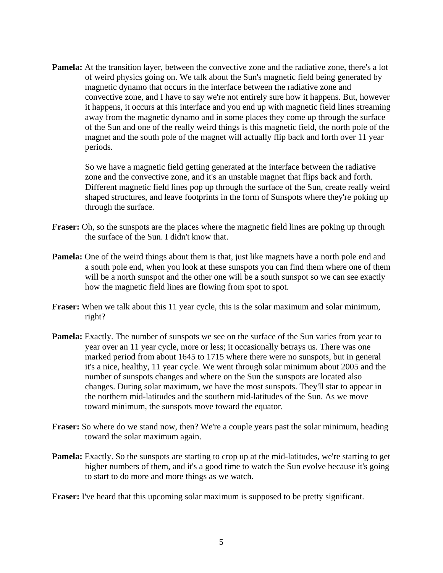**Pamela:** At the transition layer, between the convective zone and the radiative zone, there's a lot of weird physics going on. We talk about the Sun's magnetic field being generated by magnetic dynamo that occurs in the interface between the radiative zone and convective zone, and I have to say we're not entirely sure how it happens. But, however it happens, it occurs at this interface and you end up with magnetic field lines streaming away from the magnetic dynamo and in some places they come up through the surface of the Sun and one of the really weird things is this magnetic field, the north pole of the magnet and the south pole of the magnet will actually flip back and forth over 11 year periods.

 So we have a magnetic field getting generated at the interface between the radiative zone and the convective zone, and it's an unstable magnet that flips back and forth. Different magnetic field lines pop up through the surface of the Sun, create really weird shaped structures, and leave footprints in the form of Sunspots where they're poking up through the surface.

- **Fraser:** Oh, so the sunspots are the places where the magnetic field lines are poking up through the surface of the Sun. I didn't know that.
- **Pamela:** One of the weird things about them is that, just like magnets have a north pole end and a south pole end, when you look at these sunspots you can find them where one of them will be a north sunspot and the other one will be a south sunspot so we can see exactly how the magnetic field lines are flowing from spot to spot.
- **Fraser:** When we talk about this 11 year cycle, this is the solar maximum and solar minimum, right?
- **Pamela:** Exactly. The number of sunspots we see on the surface of the Sun varies from year to year over an 11 year cycle, more or less; it occasionally betrays us. There was one marked period from about 1645 to 1715 where there were no sunspots, but in general it's a nice, healthy, 11 year cycle. We went through solar minimum about 2005 and the number of sunspots changes and where on the Sun the sunspots are located also changes. During solar maximum, we have the most sunspots. They'll star to appear in the northern mid-latitudes and the southern mid-latitudes of the Sun. As we move toward minimum, the sunspots move toward the equator.
- **Fraser:** So where do we stand now, then? We're a couple years past the solar minimum, heading toward the solar maximum again.
- **Pamela:** Exactly. So the sunspots are starting to crop up at the mid-latitudes, we're starting to get higher numbers of them, and it's a good time to watch the Sun evolve because it's going to start to do more and more things as we watch.

**Fraser:** I've heard that this upcoming solar maximum is supposed to be pretty significant.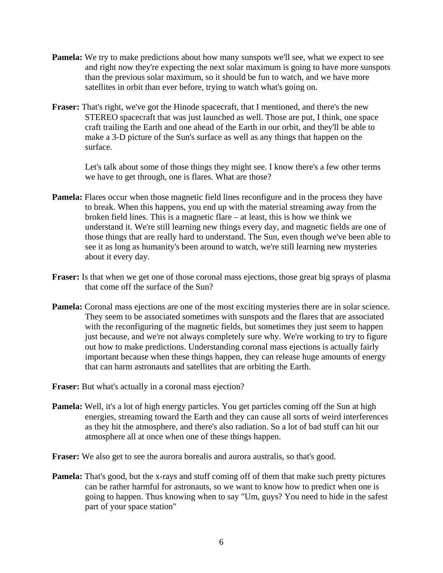- **Pamela:** We try to make predictions about how many sunspots we'll see, what we expect to see and right now they're expecting the next solar maximum is going to have more sunspots than the previous solar maximum, so it should be fun to watch, and we have more satellites in orbit than ever before, trying to watch what's going on.
- **Fraser:** That's right, we've got the Hinode spacecraft, that I mentioned, and there's the new STEREO spacecraft that was just launched as well. Those are put, I think, one space craft trailing the Earth and one ahead of the Earth in our orbit, and they'll be able to make a 3-D picture of the Sun's surface as well as any things that happen on the surface.

 Let's talk about some of those things they might see. I know there's a few other terms we have to get through, one is flares. What are those?

- **Pamela:** Flares occur when those magnetic field lines reconfigure and in the process they have to break. When this happens, you end up with the material streaming away from the broken field lines. This is a magnetic flare – at least, this is how we think we understand it. We're still learning new things every day, and magnetic fields are one of those things that are really hard to understand. The Sun, even though we've been able to see it as long as humanity's been around to watch, we're still learning new mysteries about it every day.
- **Fraser:** Is that when we get one of those coronal mass ejections, those great big sprays of plasma that come off the surface of the Sun?
- **Pamela:** Coronal mass ejections are one of the most exciting mysteries there are in solar science. They seem to be associated sometimes with sunspots and the flares that are associated with the reconfiguring of the magnetic fields, but sometimes they just seem to happen just because, and we're not always completely sure why. We're working to try to figure out how to make predictions. Understanding coronal mass ejections is actually fairly important because when these things happen, they can release huge amounts of energy that can harm astronauts and satellites that are orbiting the Earth.

**Fraser:** But what's actually in a coronal mass ejection?

- **Pamela:** Well, it's a lot of high energy particles. You get particles coming off the Sun at high energies, streaming toward the Earth and they can cause all sorts of weird interferences as they hit the atmosphere, and there's also radiation. So a lot of bad stuff can hit our atmosphere all at once when one of these things happen.
- **Fraser:** We also get to see the aurora borealis and aurora australis, so that's good.
- **Pamela:** That's good, but the x-rays and stuff coming off of them that make such pretty pictures can be rather harmful for astronauts, so we want to know how to predict when one is going to happen. Thus knowing when to say "Um, guys? You need to hide in the safest part of your space station"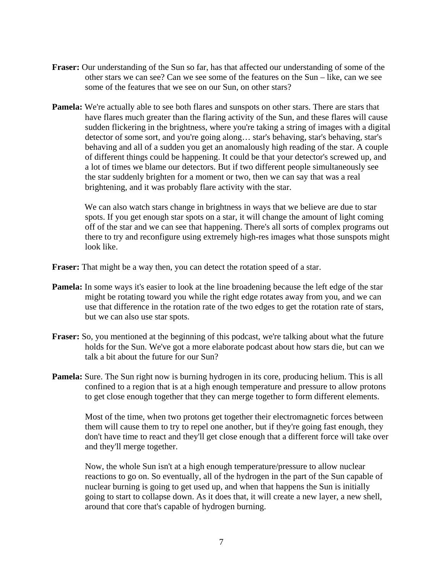- **Fraser:** Our understanding of the Sun so far, has that affected our understanding of some of the other stars we can see? Can we see some of the features on the Sun – like, can we see some of the features that we see on our Sun, on other stars?
- **Pamela:** We're actually able to see both flares and sunspots on other stars. There are stars that have flares much greater than the flaring activity of the Sun, and these flares will cause sudden flickering in the brightness, where you're taking a string of images with a digital detector of some sort, and you're going along… star's behaving, star's behaving, star's behaving and all of a sudden you get an anomalously high reading of the star. A couple of different things could be happening. It could be that your detector's screwed up, and a lot of times we blame our detectors. But if two different people simultaneously see the star suddenly brighten for a moment or two, then we can say that was a real brightening, and it was probably flare activity with the star.

We can also watch stars change in brightness in ways that we believe are due to star spots. If you get enough star spots on a star, it will change the amount of light coming off of the star and we can see that happening. There's all sorts of complex programs out there to try and reconfigure using extremely high-res images what those sunspots might look like.

**Fraser:** That might be a way then, you can detect the rotation speed of a star.

- **Pamela:** In some ways it's easier to look at the line broadening because the left edge of the star might be rotating toward you while the right edge rotates away from you, and we can use that difference in the rotation rate of the two edges to get the rotation rate of stars, but we can also use star spots.
- **Fraser:** So, you mentioned at the beginning of this podcast, we're talking about what the future holds for the Sun. We've got a more elaborate podcast about how stars die, but can we talk a bit about the future for our Sun?
- **Pamela:** Sure. The Sun right now is burning hydrogen in its core, producing helium. This is all confined to a region that is at a high enough temperature and pressure to allow protons to get close enough together that they can merge together to form different elements.

 Most of the time, when two protons get together their electromagnetic forces between them will cause them to try to repel one another, but if they're going fast enough, they don't have time to react and they'll get close enough that a different force will take over and they'll merge together.

 Now, the whole Sun isn't at a high enough temperature/pressure to allow nuclear reactions to go on. So eventually, all of the hydrogen in the part of the Sun capable of nuclear burning is going to get used up, and when that happens the Sun is initially going to start to collapse down. As it does that, it will create a new layer, a new shell, around that core that's capable of hydrogen burning.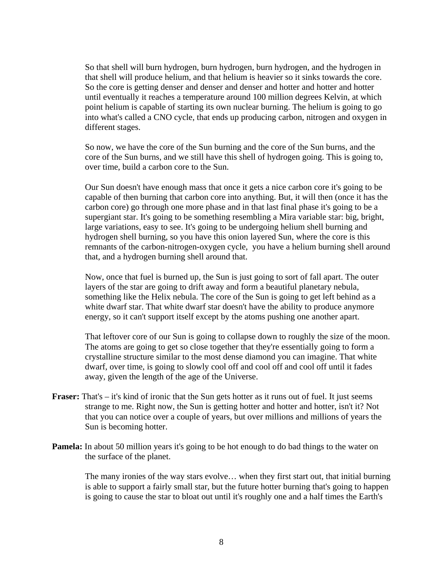So that shell will burn hydrogen, burn hydrogen, burn hydrogen, and the hydrogen in that shell will produce helium, and that helium is heavier so it sinks towards the core. So the core is getting denser and denser and denser and hotter and hotter and hotter until eventually it reaches a temperature around 100 million degrees Kelvin, at which point helium is capable of starting its own nuclear burning. The helium is going to go into what's called a CNO cycle, that ends up producing carbon, nitrogen and oxygen in different stages.

 So now, we have the core of the Sun burning and the core of the Sun burns, and the core of the Sun burns, and we still have this shell of hydrogen going. This is going to, over time, build a carbon core to the Sun.

 Our Sun doesn't have enough mass that once it gets a nice carbon core it's going to be capable of then burning that carbon core into anything. But, it will then (once it has the carbon core) go through one more phase and in that last final phase it's going to be a supergiant star. It's going to be something resembling a Mira variable star: big, bright, large variations, easy to see. It's going to be undergoing helium shell burning and hydrogen shell burning, so you have this onion layered Sun, where the core is this remnants of the carbon-nitrogen-oxygen cycle, you have a helium burning shell around that, and a hydrogen burning shell around that.

 Now, once that fuel is burned up, the Sun is just going to sort of fall apart. The outer layers of the star are going to drift away and form a beautiful planetary nebula, something like the Helix nebula. The core of the Sun is going to get left behind as a white dwarf star. That white dwarf star doesn't have the ability to produce anymore energy, so it can't support itself except by the atoms pushing one another apart.

 That leftover core of our Sun is going to collapse down to roughly the size of the moon. The atoms are going to get so close together that they're essentially going to form a crystalline structure similar to the most dense diamond you can imagine. That white dwarf, over time, is going to slowly cool off and cool off and cool off until it fades away, given the length of the age of the Universe.

- **Fraser:** That's it's kind of ironic that the Sun gets hotter as it runs out of fuel. It just seems strange to me. Right now, the Sun is getting hotter and hotter and hotter, isn't it? Not that you can notice over a couple of years, but over millions and millions of years the Sun is becoming hotter.
- **Pamela:** In about 50 million years it's going to be hot enough to do bad things to the water on the surface of the planet.

 The many ironies of the way stars evolve… when they first start out, that initial burning is able to support a fairly small star, but the future hotter burning that's going to happen is going to cause the star to bloat out until it's roughly one and a half times the Earth's